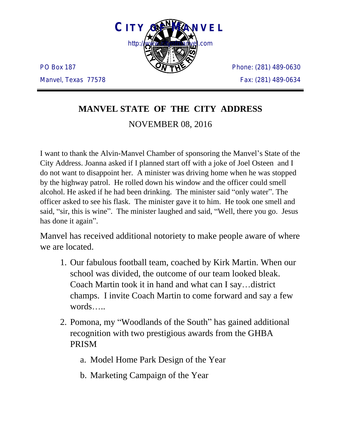

PO Box 187 Manvel, Texas 77578 Phone: (281) 489-0630 Fax: (281) 489-0634

# **MANVEL STATE OF THE CITY ADDRESS**

### NOVEMBER 08, 2016

I want to thank the Alvin-Manvel Chamber of sponsoring the Manvel's State of the City Address. Joanna asked if I planned start off with a joke of Joel Osteen and I do not want to disappoint her. A minister was driving home when he was stopped by the highway patrol. He rolled down his window and the officer could smell alcohol. He asked if he had been drinking. The minister said "only water". The officer asked to see his flask. The minister gave it to him. He took one smell and said, "sir, this is wine". The minister laughed and said, "Well, there you go. Jesus has done it again".

Manvel has received additional notoriety to make people aware of where we are located.

- 1. Our fabulous football team, coached by Kirk Martin. When our school was divided, the outcome of our team looked bleak. Coach Martin took it in hand and what can I say…district champs. I invite Coach Martin to come forward and say a few words…..
- 2. Pomona, my "Woodlands of the South" has gained additional recognition with two prestigious awards from the GHBA PRISM
	- a. Model Home Park Design of the Year
	- b. Marketing Campaign of the Year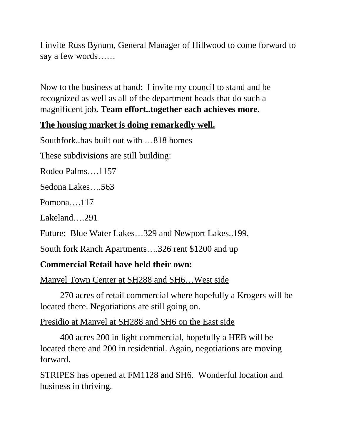I invite Russ Bynum, General Manager of Hillwood to come forward to say a few words……

Now to the business at hand: I invite my council to stand and be recognized as well as all of the department heads that do such a magnificent job**. Team effort..together each achieves more**.

## **The housing market is doing remarkedly well.**

Southfork..has built out with …818 homes

These subdivisions are still building:

Rodeo Palms….1157

Sedona Lakes….563

Pomona….117

Lakeland….291

Future: Blue Water Lakes…329 and Newport Lakes..199.

South fork Ranch Apartments….326 rent \$1200 and up

#### **Commercial Retail have held their own:**

Manvel Town Center at SH288 and SH6…West side

270 acres of retail commercial where hopefully a Krogers will be located there. Negotiations are still going on.

#### Presidio at Manvel at SH288 and SH6 on the East side

400 acres 200 in light commercial, hopefully a HEB will be located there and 200 in residential. Again, negotiations are moving forward.

STRIPES has opened at FM1128 and SH6. Wonderful location and business in thriving.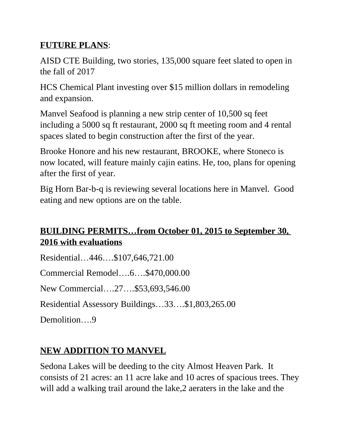## **FUTURE PLANS**:

AISD CTE Building, two stories, 135,000 square feet slated to open in the fall of 2017

HCS Chemical Plant investing over \$15 million dollars in remodeling and expansion.

Manvel Seafood is planning a new strip center of 10,500 sq feet including a 5000 sq ft restaurant, 2000 sq ft meeting room and 4 rental spaces slated to begin construction after the first of the year.

Brooke Honore and his new restaurant, BROOKE, where Stoneco is now located, will feature mainly cajin eatins. He, too, plans for opening after the first of year.

Big Horn Bar-b-q is reviewing several locations here in Manvel. Good eating and new options are on the table.

# **BUILDING PERMITS…from October 01, 2015 to September 30, 2016 with evaluations**

Residential…446….\$107,646,721.00 Commercial Remodel….6….\$470,000.00 New Commercial….27….\$53,693,546.00 Residential Assessory Buildings…33….\$1,803,265.00 Demolition 9

# **NEW ADDITION TO MANVEL**

Sedona Lakes will be deeding to the city Almost Heaven Park. It consists of 21 acres: an 11 acre lake and 10 acres of spacious trees. They will add a walking trail around the lake, 2 aeraters in the lake and the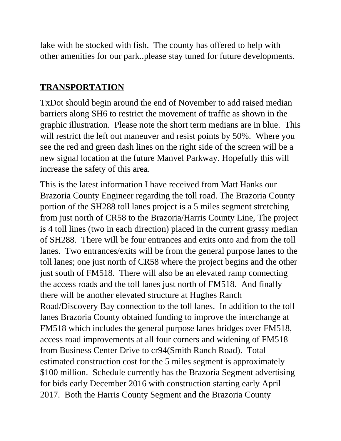lake with be stocked with fish. The county has offered to help with other amenities for our park..please stay tuned for future developments.

#### **TRANSPORTATION**

TxDot should begin around the end of November to add raised median barriers along SH6 to restrict the movement of traffic as shown in the graphic illustration. Please note the short term medians are in blue. This will restrict the left out maneuver and resist points by 50%. Where you see the red and green dash lines on the right side of the screen will be a new signal location at the future Manvel Parkway. Hopefully this will increase the safety of this area.

This is the latest information I have received from Matt Hanks our Brazoria County Engineer regarding the toll road. The Brazoria County portion of the SH288 toll lanes project is a 5 miles segment stretching from just north of CR58 to the Brazoria/Harris County Line, The project is 4 toll lines (two in each direction) placed in the current grassy median of SH288. There will be four entrances and exits onto and from the toll lanes. Two entrances/exits will be from the general purpose lanes to the toll lanes; one just north of CR58 where the project begins and the other just south of FM518. There will also be an elevated ramp connecting the access roads and the toll lanes just north of FM518. And finally there will be another elevated structure at Hughes Ranch Road/Discovery Bay connection to the toll lanes. In addition to the toll lanes Brazoria County obtained funding to improve the interchange at FM518 which includes the general purpose lanes bridges over FM518, access road improvements at all four corners and widening of FM518 from Business Center Drive to cr94(Smith Ranch Road). Total estimated construction cost for the 5 miles segment is approximately \$100 million. Schedule currently has the Brazoria Segment advertising for bids early December 2016 with construction starting early April 2017. Both the Harris County Segment and the Brazoria County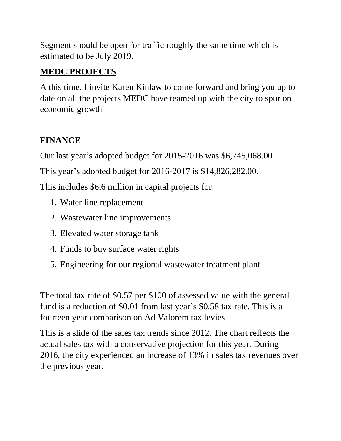Segment should be open for traffic roughly the same time which is estimated to be July 2019.

# **MEDC PROJECTS**

A this time, I invite Karen Kinlaw to come forward and bring you up to date on all the projects MEDC have teamed up with the city to spur on economic growth

# **FINANCE**

Our last year's adopted budget for 2015-2016 was \$6,745,068.00

This year's adopted budget for 2016-2017 is \$14,826,282.00.

This includes \$6.6 million in capital projects for:

- 1. Water line replacement
- 2. Wastewater line improvements
- 3. Elevated water storage tank
- 4. Funds to buy surface water rights
- 5. Engineering for our regional wastewater treatment plant

The total tax rate of \$0.57 per \$100 of assessed value with the general fund is a reduction of \$0.01 from last year's \$0.58 tax rate. This is a fourteen year comparison on Ad Valorem tax levies

This is a slide of the sales tax trends since 2012. The chart reflects the actual sales tax with a conservative projection for this year. During 2016, the city experienced an increase of 13% in sales tax revenues over the previous year.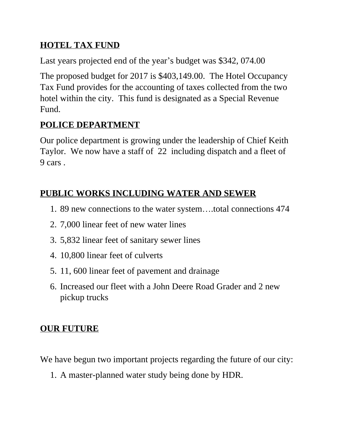### **HOTEL TAX FUND**

Last years projected end of the year's budget was \$342, 074.00

The proposed budget for 2017 is \$403,149.00. The Hotel Occupancy Tax Fund provides for the accounting of taxes collected from the two hotel within the city. This fund is designated as a Special Revenue Fund.

# **POLICE DEPARTMENT**

Our police department is growing under the leadership of Chief Keith Taylor. We now have a staff of 22 including dispatch and a fleet of 9 cars .

## **PUBLIC WORKS INCLUDING WATER AND SEWER**

- 1. 89 new connections to the water system….total connections 474
- 2. 7,000 linear feet of new water lines
- 3. 5,832 linear feet of sanitary sewer lines
- 4. 10,800 linear feet of culverts
- 5. 11, 600 linear feet of pavement and drainage
- 6. Increased our fleet with a John Deere Road Grader and 2 new pickup trucks

# **OUR FUTURE**

We have begun two important projects regarding the future of our city:

1. A master-planned water study being done by HDR.